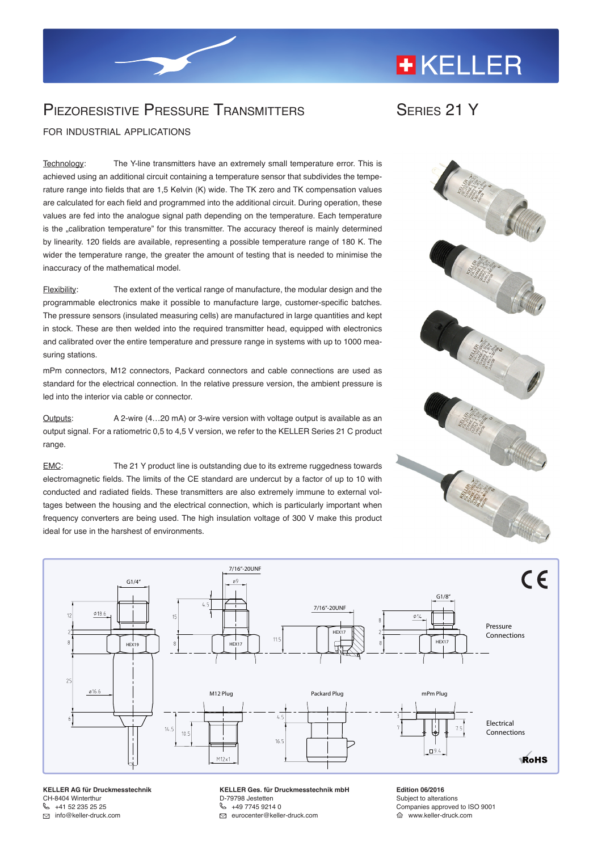## **+KELLER**

## Piezoresistive Pressure Transmitters

for industrial applications

Technology: The Y-line transmitters have an extremely small temperature error. This is achieved using an additional circuit containing a temperature sensor that subdivides the temperature range into fields that are 1,5 Kelvin (K) wide. The TK zero and TK compensation values are calculated for each field and programmed into the additional circuit. During operation, these values are fed into the analogue signal path depending on the temperature. Each temperature is the "calibration temperature" for this transmitter. The accuracy thereof is mainly determined by linearity. 120 fields are available, representing a possible temperature range of 180 K. The wider the temperature range, the greater the amount of testing that is needed to minimise the inaccuracy of the mathematical model.

Flexibility: The extent of the vertical range of manufacture, the modular design and the programmable electronics make it possible to manufacture large, customer-specific batches. The pressure sensors (insulated measuring cells) are manufactured in large quantities and kept in stock. These are then welded into the required transmitter head, equipped with electronics and calibrated over the entire temperature and pressure range in systems with up to 1000 measuring stations.

mPm connectors, M12 connectors, Packard connectors and cable connections are used as standard for the electrical connection. In the relative pressure version, the ambient pressure is led into the interior via cable or connector.

Outputs: A 2-wire (4…20 mA) or 3-wire version with voltage output is available as an output signal. For a ratiometric 0,5 to 4,5 V version, we refer to the KELLER Series 21 C product range.

EMC: The 21 Y product line is outstanding due to its extreme ruggedness towards electromagnetic fields. The limits of the CE standard are undercut by a factor of up to 10 with conducted and radiated fields. These transmitters are also extremely immune to external voltages between the housing and the electrical connection, which is particularly important when frequency converters are being used. The high insulation voltage of 300 V make this product ideal for use in the harshest of environments.







**KELLER AG für Druckmesstechnik** CH-8404 Winterthur [+41 52 235 25 25](tel:0041522352525) info@keller-druck.com

**KELLER Ges. für Druckmesstechnik mbH** D-79798 Jestetten [+49 7745 9214 0](tel:0049774592140) eurocenter@keller-druck.com

**Edition 06/2016** Subject to alterations Companies approved to ISO 9001 www.keller-druck.com